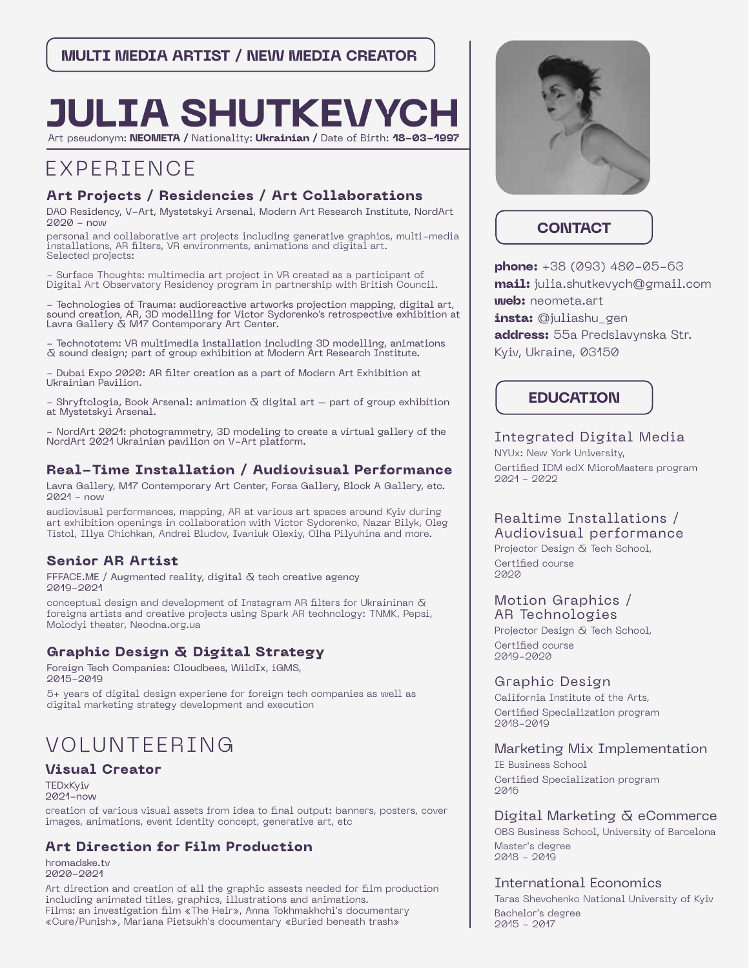# **JULIA SHUTKEVY**

Art pseudonym: **NEOMETA /** Nationality: **Ukrainian /** Date of Birth: **18-03-1997**

# EXPERIENCE

# **Art Projects / Residencies / Art Collaborations**

DAO Residency, V-Art, Mystetskyi Arsenal, Modern Art Research Institute, NordArt 2020 - now

personal and collaborative art projects including generative graphics, multi-media  $\dot{a}$ installations, AR filters, VR environments, animations and digital art. Selected projects:

- Surface Thoughts: multimedia art project in VR created as a participant of Digital Art Observatory Residency program in partnership with British Council.

- Technologies of Trauma: audioreactive artworks projection mapping, digital art, sound creation, AR, 3D modelling for Victor Sydorenko's retrospective exhibition at Lavra Gallery & M17 Contemporary Art Center.

- Technototem: VR multimedia installation including 3D modelling, animations & sound design; part of group exhibition at Modern Art Research Institute.

Dubai Expo 2020: AR filter creation as a part of Modern Art Exhibition at Ukrainian Pavilion.

- Shryftologia, Book Arsenal: animation  $\bar{\alpha}$  digital art  $-$  part of group exhibition at Mystetskyi Arsenal.

NordArt 2021: photogrammetry, 3D modeling to create a virtual gallery of the NordArt 2021 Ukrainian pavilion on V-Art platform.

# **Real-Time Installation / Audiovisual Performance**

Lavra Gallery, M17 Contemporary Art Center, Forsa Gallery, Block A Gallery, etc. 2021 - now

audiovisual performances, mapping, AR at various art spaces around Kyiv during art exhibition openings in collaboration with Victor Sydorenko, Nazar Bilyk, Oleg Tistol, Illya Chichkan, Andrei Bludov, Ivaniuk Olexiy, Olha Pilyuhina and more.

# **Senior AR Artist**

FFFACE.ME / Augmented reality, digital  $\bar{\alpha}$  tech creative agency 2019-2021

conceptual design and development of Instagram AR filters for Ukraininan  $\delta$ foreigns artists and creative projects using Spark AR technology: TNMK, Pepsi, Molodyi theater, Neodna.org.ua

# **Graphic Design & Digital Strategy**

Foreign Tech Companies: Cloudbees, WildIx, iGMS, 2015-2019

5+ years of digital design experiene for foreign tech companies as well as digital marketing strategy development and execution

# VOLUNTEERING

# **Visual Creator**

**TEDxKviv** 2021-now

creation of various visual assets from idea to final output: banners, posters, cover images, animations, event identity concept, generative art, etc

# **Art Direction for Film Production**

hromadske.tv 2020-2021

Art direction and creation of all the graphic assests needed for film production including animated titles, graphics, illustrations and animations. Films: an investigation film «The Heir», Anna Tokhmakhchi's documentary «Cure/Punish», Mariana Pietsukh's documentary «Buried beneath trash»



# **CONTACT**

**phone:** +38 (093) 480-05-63 **mail:** julia.shutkevych@gmail.com **web:** neometa.art **insta:** @juliashu\_gen **address:** 55a Predslavynska Str. Kyiv, Ukraine, 03150

# **EDUCATION**

Integrated Digital Media NYUx: New York University, Certified IDM edX MicroMasters program 2021 - 2022

# Realtime Installations / Audiovisual performance

Projector Design & Tech School, Certified course 2020

#### Motion Graphics / AR Technologies

Projector Design & Tech School, Certified course 2019-2020

# Graphic Design

California Institute of the Arts, Certified Specialization program 2018-2019

# Marketing Mix Implementation

IE Business School Certified Specialization program 2016

# Digital Marketing & eCommerce

OBS Business School, University of Barcelona Master's degree 2018 - 2019

# International Economics

Taras Shevchenko National University of Kyiv Bachelor's degree 2015 - 2017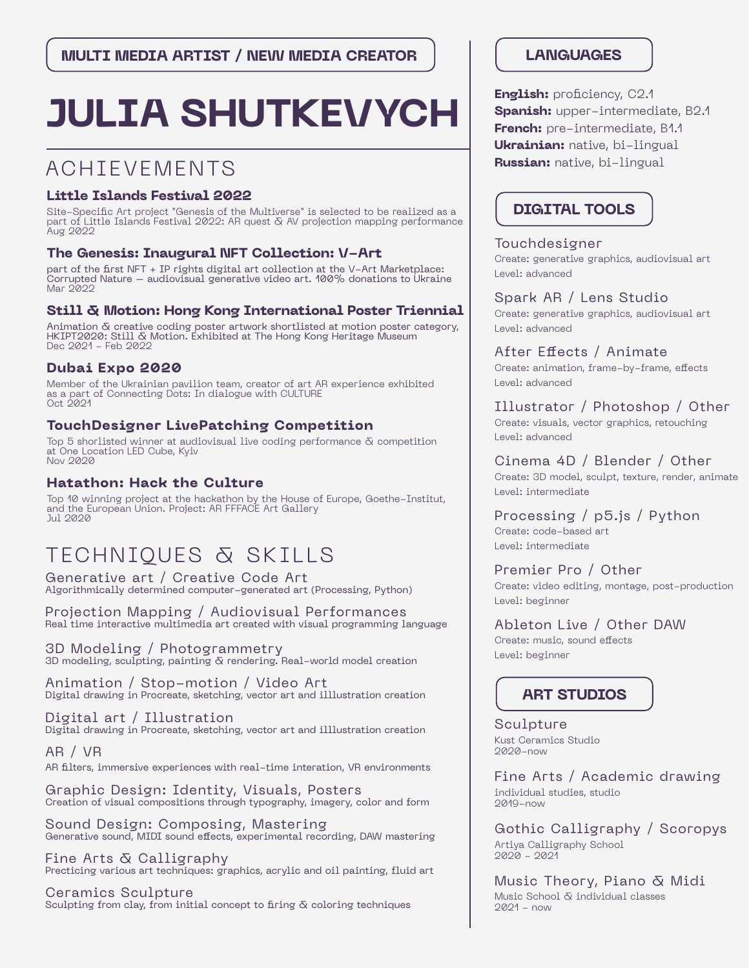# **JULIA SHUTKEVYCH**

# ACHIEVEMENTS

# **Little Islands Festival 2022**

Site-Specific Art project "Genesis of the Multiverse" is selected to be realized as a part of Little Islands Festival 2022: AR quest & AV projection mapping performance Aug 2022

# **The Genesis: Inaugural NFT Collection: V-Art**

part of the first NFT + IP rights digital art collection at the V-Art Marketplace: Corrupted Nature – audiovisual generative video art. 100% donations to Ukraine Mar 2022

# **Still & Motion: Hong Kong International Poster Triennial**

Animation & creative coding poster artwork shortlisted at motion poster category, HKIPT2020: Still & Motion. Exhibited at The Hong Kong Heritage Museum Dec 2021 - Feb 2022

# **Dubai Expo 2020**

Member of the Ukrainian pavilion team, creator of art AR experience exhibited as a part of Connecting Dots: In dialogue with CULTURE Oct 2021

# **TouchDesigner LivePatching Competition**

Top 5 shorlisted winner at audiovisual live coding performance  $\bar{\alpha}$  competition at One Location LED Cube, Kyiv Nov 2020

# **Hatathon: Hack the Culture**

Top 10 winning project at the hackathon by the House of Europe, Goethe-Institut, and the European Union. Project: AR FFFACE Art Gallery  $J<sub>U</sub>$  $J<sub>Q</sub>$  $O<sub>Q</sub>$ 

# TECHNIQUES & SKILLS

Generative art / Creative Code Art Algorithmically determined computer-generated art (Processing, Python)

Projection Mapping / Audiovisual Performances Real time interactive multimedia art created with visual programming language

3D Modeling / Photogrammetry 3D modeling, sculpting, painting & rendering. Real-world model creation

Animation / Stop-motion / Video Art Digital drawing in Procreate, sketching, vector art and illlustration creation

Digital art / Illustration Digital drawing in Procreate, sketching, vector art and illlustration creation

AR / VR AR filters, immersive experiences with real-time interation, VR environments

Graphic Design: Identity, Visuals, Posters Creation of visual compositions through typography, imagery, color and form

Sound Design: Composing, Mastering Generative sound, MIDI sound effects, experimental recording, DAW mastering

Fine Arts & Calligraphy Precticing various art techniques: graphics, acrylic and oil painting, fluid art

Ceramics Sculpture Sculpting from clay, from initial concept to firing  $\delta$  coloring techniques

# **LANGUAGES**

**English:** proficiency, C2.1 **Spanish:** upper-intermediate, B2.1 **French:** pre-intermediate, B1.1 **Ukrainian:** native, bi-lingual **Russian:** native, bi-lingual

# **DIGITAL TOOLS**

# Touchdesigner Create: generative graphics, audiovisual art Level: advanced

Spark AR / Lens Studio Create: generative graphics, audiovisual art Level: advanced

After Effects / Animate Create: animation, frame-by-frame, effects Level: advanced

Illustrator / Photoshop / Other Create: visuals, vector graphics, retouching Level: advanced

Cinema 4D / Blender / Other Create: 3D model, sculpt, texture, render, animate Level: intermediate

Processing / p5.js / Python Create: code-based art Level: intermediate

Premier Pro / Other Create: video editing, montage, post-production Level: beginner

Ableton Live / Other DAW Create: music, sound effects Level: beginner

# **ART STUDIOS**

Sculpture Kust Ceramics Studio  $0000 - n0W$ 

Fine Arts / Academic drawing individual studies, studio 2019-now

Gothic Calligraphy / Scoropys Artiya Calligraphy School 2020 - 2021

Music Theory, Piano & Midi Music School & individual classes 2021 - now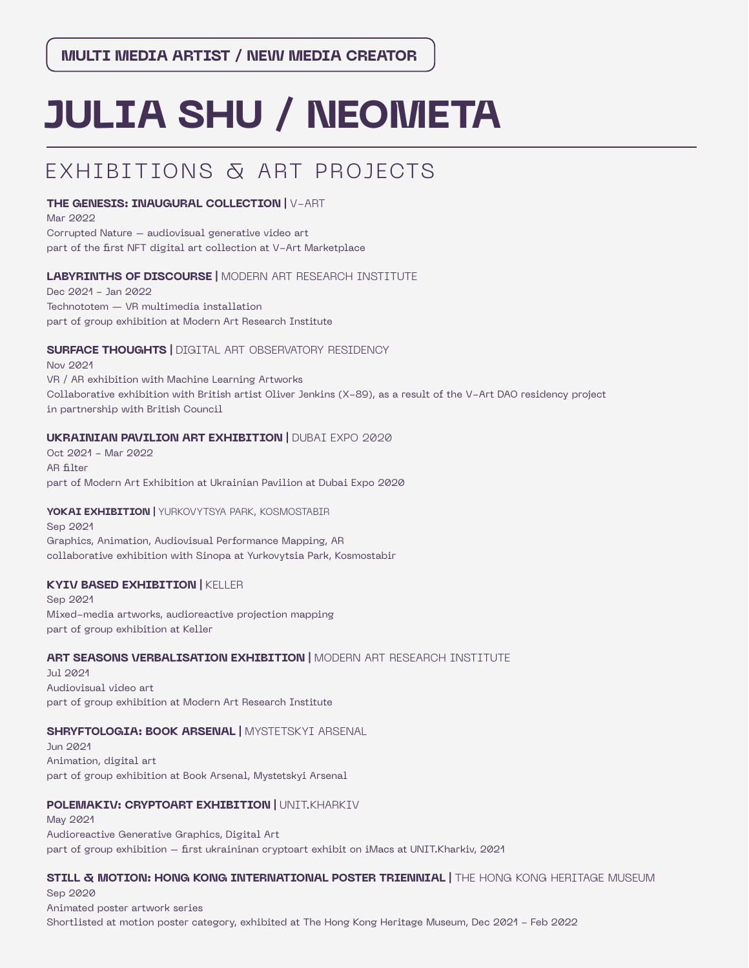# **JULIA SHU / NEOMETA**

# EXHIBITIONS & ART PROJECTS

## **THE GENESIS: INAUGURAL COLLECTION |** V-ART

Mar 2022 Corrupted Nature – audiovisual generative video art part of the first NFT digital art collection at V-Art Marketplace

## **LABYRINTHS OF DISCOURSE |** MODERN ART RESEARCH INSTITUTE

Dec 2021 - Jan 2022 Technototem — VR multimedia installation part of group exhibition at Modern Art Research Institute

## **SURFACE THOUGHTS | DIGITAL ART OBSERVATORY RESIDENCY**

Nov 2021 VR / AR exhibition with Machine Learning Artworks Collaborative exhibition with British artist Oliver Jenkins (X-89), as a result of the V-Art DAO residency project in partnership with British Council

## **UKRAINIAN PAVILION ART EXHIBITION | DUBAI EXPO 2020**

Oct 2021 - Mar 2022 AR filter part of Modern Art Exhibition at Ukrainian Pavilion at Dubai Expo 2020

## **YOKAI EXHIBITION |** YURKOVYTSYA PARK, KOSMOSTABIR

Sep 2021 Graphics, Animation, Audiovisual Performance Mapping, AR collaborative exhibition with Sinopa at Yurkovytsia Park, Kosmostabir

## **KYIV BASED EXHIBITION |** KELLER

Sep 2021 Mixed-media artworks, audioreactive projection mapping part of group exhibition at Keller

## **ART SEASONS VERBALISATION EXHIBITION |** MODERN ART RESEARCH INSTITUTE

Jul 2021 Audiovisual video art part of group exhibition at Modern Art Research Institute

## **SHRYFTOLOGIA: BOOK ARSENAL |** MYSTETSKYI ARSENAL

Jun 2021 Animation, digital art part of group exhibition at Book Arsenal, Mystetskyi Arsenal

# **POLEMAKIV: CRYPTOART EXHIBITION | UNIT.KHARKIV**

May 2021 Audioreactive Generative Graphics, Digital Art part of group exhibition – first ukraininan cryptoart exhibit on iMacs at UNIT.Kharkiv, 2021

# **STILL & MOTION: HONG KONG INTERNATIONAL POSTER TRIENNIAL |** THE HONG KONG HERITAGE MUSEUM

Sep 2020 Animated poster artwork series Shortlisted at motion poster category, exhibited at The Hong Kong Heritage Museum, Dec 2021 - Feb 2022